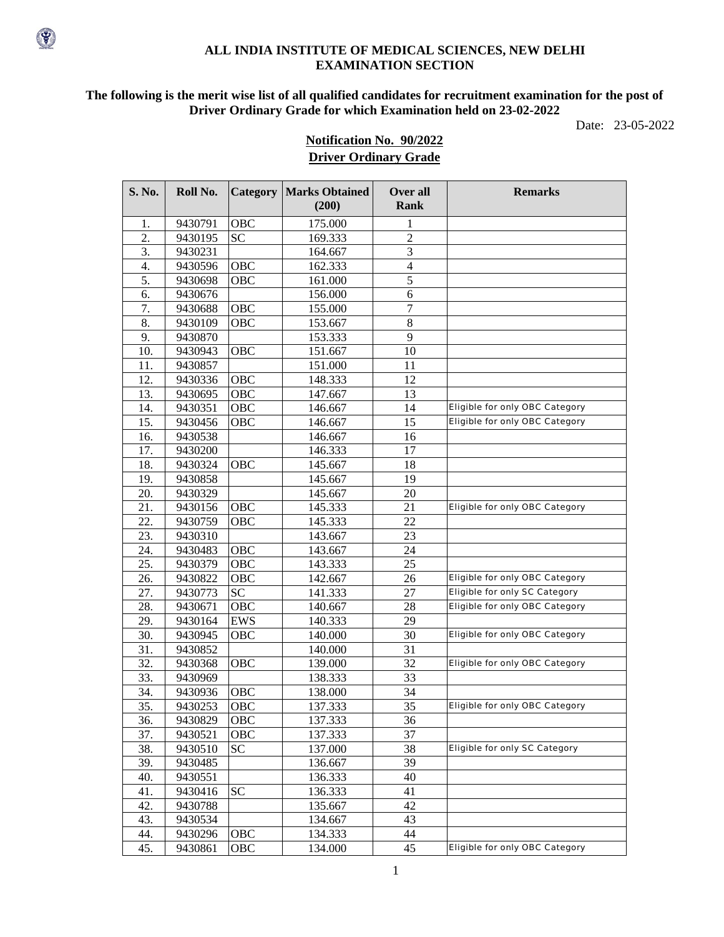#### **ALL INDIA INSTITUTE OF MEDICAL SCIENCES, NEW DELHI EXAMINATION SECTION**

## **The following is the merit wise list of all qualified candidates for recruitment examination for the post of Driver Ordinary Grade for which Examination held on 23-02-2022**

Date: 23-05-2022

# **Notification No. 90/2022 Driver Ordinary Grade**

| S. No. | Roll No. |            | <b>Category   Marks Obtained</b><br>(200) | Over all<br><b>Rank</b> | <b>Remarks</b>                        |
|--------|----------|------------|-------------------------------------------|-------------------------|---------------------------------------|
| 1.     | 9430791  | OBC        | 175.000                                   | 1                       |                                       |
| 2.     | 9430195  | <b>SC</b>  | 169.333                                   | $\overline{2}$          |                                       |
| 3.     | 9430231  |            | 164.667                                   | 3                       |                                       |
| 4.     | 9430596  | OBC        | 162.333                                   | $\overline{4}$          |                                       |
| 5.     | 9430698  | OBC        | 161.000                                   | 5                       |                                       |
| 6.     | 9430676  |            | 156.000                                   | 6                       |                                       |
| 7.     | 9430688  | OBC        | 155.000                                   | $\overline{7}$          |                                       |
| 8.     | 9430109  | OBC        | 153.667                                   | $8\,$                   |                                       |
| 9.     | 9430870  |            | 153.333                                   | 9                       |                                       |
| 10.    | 9430943  | OBC        | 151.667                                   | 10                      |                                       |
| 11.    | 9430857  |            | 151.000                                   | 11                      |                                       |
| 12.    | 9430336  | OBC        | 148.333                                   | 12                      |                                       |
| 13.    | 9430695  | OBC        | 147.667                                   | 13                      |                                       |
| 14.    | 9430351  | OBC        | 146.667                                   | 14                      | <b>Eligible for only OBC Category</b> |
| 15.    | 9430456  | OBC        | 146.667                                   | 15                      | <b>Eligible for only OBC Category</b> |
| 16.    | 9430538  |            | 146.667                                   | 16                      |                                       |
| 17.    | 9430200  |            | 146.333                                   | 17                      |                                       |
| 18.    | 9430324  | <b>OBC</b> | 145.667                                   | 18                      |                                       |
| 19.    | 9430858  |            | 145.667                                   | 19                      |                                       |
| 20.    | 9430329  |            | 145.667                                   | 20                      |                                       |
| 21.    | 9430156  | OBC        | 145.333                                   | 21                      | <b>Eligible for only OBC Category</b> |
| 22.    | 9430759  | OBC        | 145.333                                   | 22                      |                                       |
| 23.    | 9430310  |            | 143.667                                   | 23                      |                                       |
| 24.    | 9430483  | OBC        | 143.667                                   | 24                      |                                       |
| 25.    | 9430379  | OBC        | 143.333                                   | 25                      |                                       |
| 26.    | 9430822  | OBC        | 142.667                                   | 26                      | Eligible for only OBC Category        |
| 27.    | 9430773  | <b>SC</b>  | 141.333                                   | 27                      | <b>Eligible for only SC Category</b>  |
| 28.    | 9430671  | OBC        | 140.667                                   | 28                      | <b>Eligible for only OBC Category</b> |
| 29.    | 9430164  | <b>EWS</b> | 140.333                                   | 29                      |                                       |
| 30.    | 9430945  | OBC        | 140.000                                   | 30                      | <b>Eligible for only OBC Category</b> |
| 31.    | 9430852  |            | 140.000                                   | 31                      |                                       |
| 32.    | 9430368  | OBC        | 139.000                                   | 32                      | <b>Eligible for only OBC Category</b> |
| 33.    | 9430969  |            | 138.333                                   | 33                      |                                       |
| 34.    | 9430936  | OBC        | 138.000                                   | 34                      |                                       |
| 35.    | 9430253  | <b>OBC</b> | 137.333                                   | 35                      | <b>Eligible for only OBC Category</b> |
| 36.    | 9430829  | <b>OBC</b> | 137.333                                   | 36                      |                                       |
| 37.    | 9430521  | OBC        | 137.333                                   | 37                      |                                       |
| 38.    | 9430510  | <b>SC</b>  | 137.000                                   | 38                      | <b>Eligible for only SC Category</b>  |
| 39.    | 9430485  |            | 136.667                                   | 39                      |                                       |
| 40.    | 9430551  |            | 136.333                                   | 40                      |                                       |
| 41.    | 9430416  | <b>SC</b>  | 136.333                                   | 41                      |                                       |
| 42.    | 9430788  |            | 135.667                                   | 42                      |                                       |
| 43.    | 9430534  |            | 134.667                                   | 43                      |                                       |
| 44.    | 9430296  | OBC        | 134.333                                   | 44                      |                                       |
| 45.    | 9430861  | OBC        | 134.000                                   | 45                      | <b>Eligible for only OBC Category</b> |

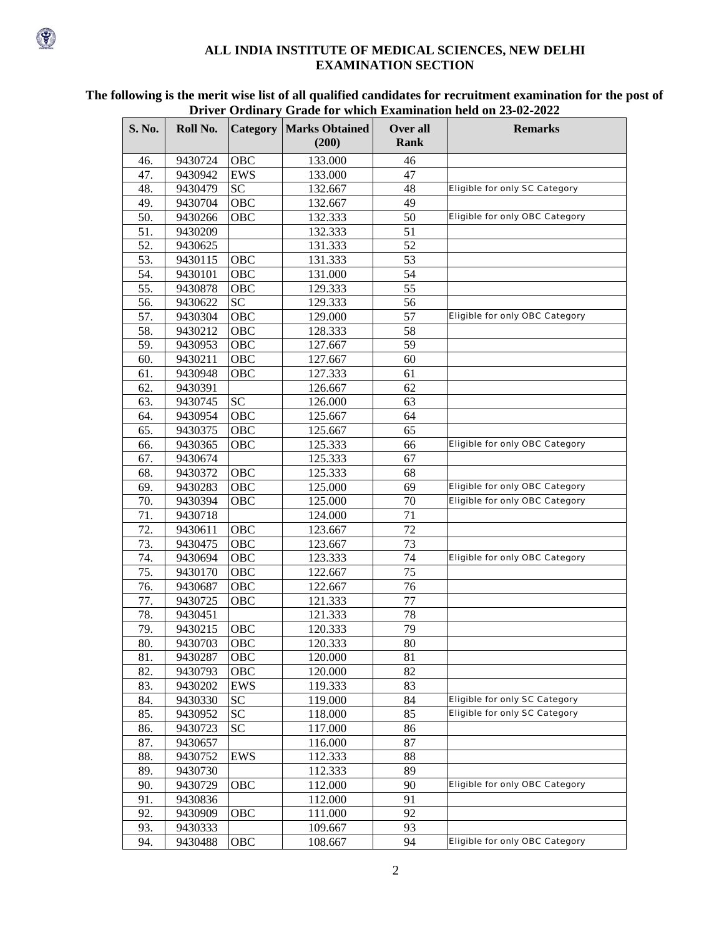#### **ALL INDIA INSTITUTE OF MEDICAL SCIENCES, NEW DELHI EXAMINATION SECTION**

| S. No. | Roll No. |                   | <b>Category   Marks Obtained</b> | Over all | DITVEL OF GINALLY OF AUCTOR WHICH EXAMINATION HERE ON 25-02-2022<br><b>Remarks</b> |
|--------|----------|-------------------|----------------------------------|----------|------------------------------------------------------------------------------------|
|        |          |                   | (200)                            | Rank     |                                                                                    |
| 46.    | 9430724  | <b>OBC</b>        | 133.000                          | 46       |                                                                                    |
| 47.    | 9430942  | <b>EWS</b>        | 133.000                          | 47       |                                                                                    |
| 48.    | 9430479  | SC <sub>1</sub>   | 132.667                          | 48       | <b>Eligible for only SC Category</b>                                               |
| 49.    | 9430704  | <b>OBC</b>        | 132.667                          | 49       |                                                                                    |
| 50.    | 9430266  | <b>OBC</b>        | 132.333                          | 50       | Eligible for only OBC Category                                                     |
| 51.    | 9430209  |                   | 132.333                          | 51       |                                                                                    |
| 52.    | 9430625  |                   | 131.333                          | 52       |                                                                                    |
| 53.    | 9430115  | <b>OBC</b>        | 131.333                          | 53       |                                                                                    |
| 54.    | 9430101  | <b>OBC</b>        | 131.000                          | 54       |                                                                                    |
| 55.    | 9430878  | <b>OBC</b>        | 129.333                          | 55       |                                                                                    |
| 56.    | 9430622  | SC <sub>1</sub>   | 129.333                          | 56       |                                                                                    |
| 57.    | 9430304  | <b>OBC</b>        | 129.000                          | 57       | <b>Eligible for only OBC Category</b>                                              |
| 58.    | 9430212  | <b>OBC</b>        | 128.333                          | 58       |                                                                                    |
| 59.    | 9430953  | <b>OBC</b>        | 127.667                          | 59       |                                                                                    |
| 60.    | 9430211  | <b>OBC</b>        | 127.667                          | 60       |                                                                                    |
| 61.    | 9430948  | OBC               | 127.333                          | 61       |                                                                                    |
| 62.    | 9430391  |                   | 126.667                          | 62       |                                                                                    |
| 63.    | 9430745  | <b>SC</b>         | 126.000                          | 63       |                                                                                    |
| 64.    | 9430954  | <b>OBC</b>        | 125.667                          | 64       |                                                                                    |
| 65.    | 9430375  | <b>OBC</b>        | 125.667                          | 65       |                                                                                    |
| 66.    | 9430365  | OBC               | 125.333                          | 66       | <b>Eligible for only OBC Category</b>                                              |
| 67.    | 9430674  |                   | 125.333                          | 67       |                                                                                    |
| 68.    | 9430372  | <b>OBC</b>        | 125.333                          | 68       |                                                                                    |
| 69.    | 9430283  | <b>OBC</b>        | 125.000                          | 69       | <b>Eligible for only OBC Category</b>                                              |
| 70.    | 9430394  | <b>OBC</b>        | 125.000                          | 70       | Eligible for only OBC Category                                                     |
| 71.    | 9430718  |                   | 124.000                          | 71       |                                                                                    |
| 72.    | 9430611  | <b>OBC</b>        | 123.667                          | 72       |                                                                                    |
| 73.    | 9430475  | <b>OBC</b>        | 123.667                          | 73       |                                                                                    |
| 74.    | 9430694  | <b>OBC</b>        | 123.333                          | 74       | <b>Eligible for only OBC Category</b>                                              |
| 75.    | 9430170  | <b>OBC</b>        | 122.667                          | 75       |                                                                                    |
| 76.    | 9430687  | <b>OBC</b>        | 122.667                          | 76       |                                                                                    |
| 77.    | 9430725  | <b>OBC</b>        | 121.333                          | 77       |                                                                                    |
| 78.    | 9430451  |                   | 121.333                          | 78       |                                                                                    |
| 79.    | 9430215  | <b>OBC</b>        | 120.333                          | 79       |                                                                                    |
| 80.    | 9430703  | $\overline{O}$ BC | 120.333                          | $80\,$   |                                                                                    |
| 81.    | 9430287  | <b>OBC</b>        | 120.000                          | 81       |                                                                                    |
| 82.    | 9430793  | OBC               | 120.000                          | 82       |                                                                                    |
| 83.    | 9430202  | EWS               | 119.333                          | 83       |                                                                                    |
| 84.    | 9430330  | <b>SC</b>         | 119.000                          | 84       | <b>Eligible for only SC Category</b>                                               |
| 85.    | 9430952  | SC <sub>1</sub>   | 118.000                          | 85       | <b>Eligible for only SC Category</b>                                               |
| 86.    | 9430723  | <b>SC</b>         | 117.000                          | 86       |                                                                                    |
| 87.    | 9430657  |                   | 116.000                          | 87       |                                                                                    |
| 88.    | 9430752  | EWS               | 112.333                          | 88       |                                                                                    |
| 89.    | 9430730  |                   | 112.333                          | 89       |                                                                                    |
| 90.    | 9430729  | <b>OBC</b>        | 112.000                          | 90       | <b>Eligible for only OBC Category</b>                                              |
| 91.    | 9430836  |                   | 112.000                          | 91       |                                                                                    |
| 92.    | 9430909  | <b>OBC</b>        | 111.000                          | 92       |                                                                                    |
| 93.    | 9430333  |                   | 109.667                          | 93       |                                                                                    |
| 94.    | 9430488  | OBC               | 108.667                          | 94       | <b>Eligible for only OBC Category</b>                                              |

#### **The following is the merit wise list of all qualified candidates for recruitment examination for the post of Driver Ordinary Grade for which Examination held on 23-02-2022**

 $\mathscr{F}$